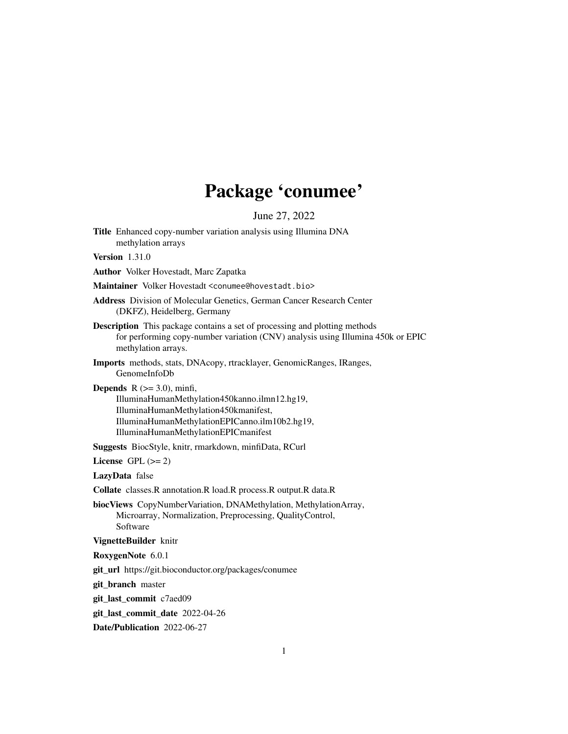# Package 'conumee'

June 27, 2022

Title Enhanced copy-number variation analysis using Illumina DNA methylation arrays

Version 1.31.0

Author Volker Hovestadt, Marc Zapatka

Maintainer Volker Hovestadt <conumee@hovestadt.bio>

Address Division of Molecular Genetics, German Cancer Research Center (DKFZ), Heidelberg, Germany

- Description This package contains a set of processing and plotting methods for performing copy-number variation (CNV) analysis using Illumina 450k or EPIC methylation arrays.
- Imports methods, stats, DNAcopy, rtracklayer, GenomicRanges, IRanges, GenomeInfoDb

**Depends**  $R$  ( $>= 3.0$ ), minfi, IlluminaHumanMethylation450kanno.ilmn12.hg19, IlluminaHumanMethylation450kmanifest, IlluminaHumanMethylationEPICanno.ilm10b2.hg19, IlluminaHumanMethylationEPICmanifest

Suggests BiocStyle, knitr, rmarkdown, minfiData, RCurl

License GPL  $(>= 2)$ 

LazyData false

Collate classes.R annotation.R load.R process.R output.R data.R

biocViews CopyNumberVariation, DNAMethylation, MethylationArray, Microarray, Normalization, Preprocessing, QualityControl, Software

VignetteBuilder knitr

RoxygenNote 6.0.1

git\_url https://git.bioconductor.org/packages/conumee

git\_branch master

git\_last\_commit c7aed09

git last commit date 2022-04-26

Date/Publication 2022-06-27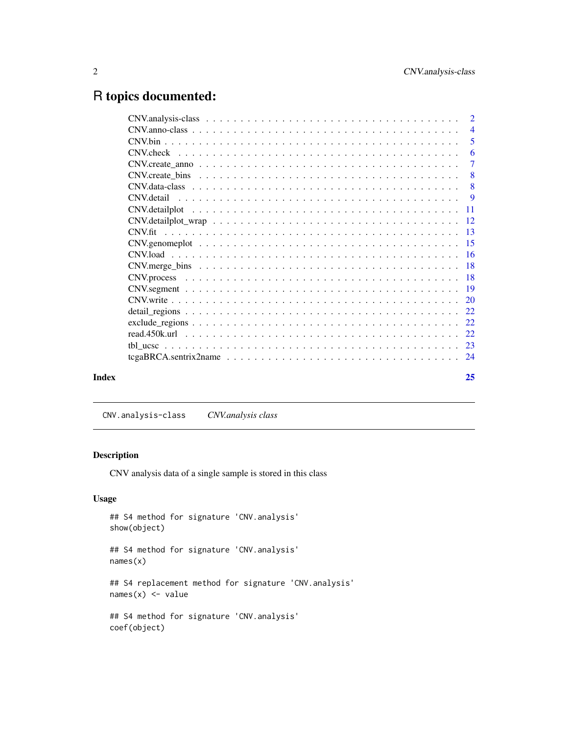## <span id="page-1-0"></span>R topics documented:

|       |                                                                                                         | $\overline{4}$ |
|-------|---------------------------------------------------------------------------------------------------------|----------------|
|       |                                                                                                         | $\overline{5}$ |
|       |                                                                                                         | -6             |
|       |                                                                                                         | $\overline{7}$ |
|       |                                                                                                         |                |
|       |                                                                                                         | 8              |
|       |                                                                                                         |                |
|       |                                                                                                         |                |
|       | $CNV. detailplot_{w} = 12$                                                                              |                |
|       |                                                                                                         |                |
|       |                                                                                                         |                |
|       |                                                                                                         |                |
|       |                                                                                                         |                |
|       |                                                                                                         |                |
|       |                                                                                                         |                |
|       |                                                                                                         |                |
|       |                                                                                                         |                |
|       |                                                                                                         |                |
|       |                                                                                                         |                |
|       |                                                                                                         |                |
|       | $tegaBRCA.sentrix2name \ldots \ldots \ldots \ldots \ldots \ldots \ldots \ldots \ldots \ldots \ldots 24$ |                |
| Index |                                                                                                         | 25             |
|       |                                                                                                         |                |

CNV.analysis-class *CNV.analysis class*

#### Description

CNV analysis data of a single sample is stored in this class

#### Usage

```
## S4 method for signature 'CNV.analysis'
show(object)
```
## S4 method for signature 'CNV.analysis' names(x)

## S4 replacement method for signature 'CNV.analysis'  $names(x)$  <- value

## S4 method for signature 'CNV.analysis' coef(object)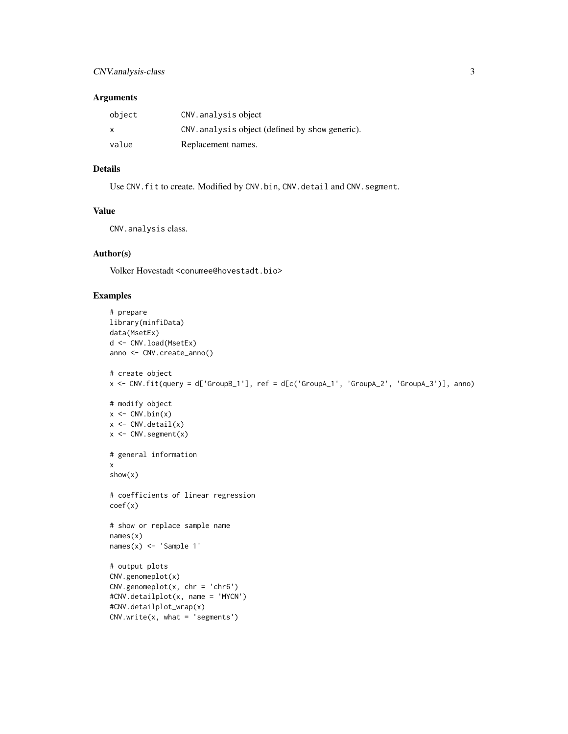#### CNV.analysis-class 3

#### Arguments

| object       | CNV.analysis object                             |
|--------------|-------------------------------------------------|
| $\mathsf{x}$ | CNV. analysis object (defined by show generic). |
| value        | Replacement names.                              |

#### Details

Use CNV. fit to create. Modified by CNV.bin, CNV.detail and CNV.segment.

#### Value

CNV.analysis class.

#### Author(s)

Volker Hovestadt <conumee@hovestadt.bio>

```
# prepare
library(minfiData)
data(MsetEx)
d <- CNV.load(MsetEx)
anno <- CNV.create_anno()
# create object
x <- CNV.fit(query = d['GroupB_1'], ref = d[c('GroupA_1', 'GroupA_2', 'GroupA_3')], anno)
# modify object
x \leftarrow \text{CNN}.\text{bin}(x)x <- CNV.detail(x)
x <- CNV.segment(x)
# general information
x
show(x)
# coefficients of linear regression
coef(x)
# show or replace sample name
names(x)
names(x) <- 'Sample 1'
# output plots
CNV.genomeplot(x)
CNV.genomeplot(x, \text{ chr} = 'chr6')#CNV.detailplot(x, name = 'MYCN')
#CNV.detailplot_wrap(x)
CNV.write(x, what = 'segments')
```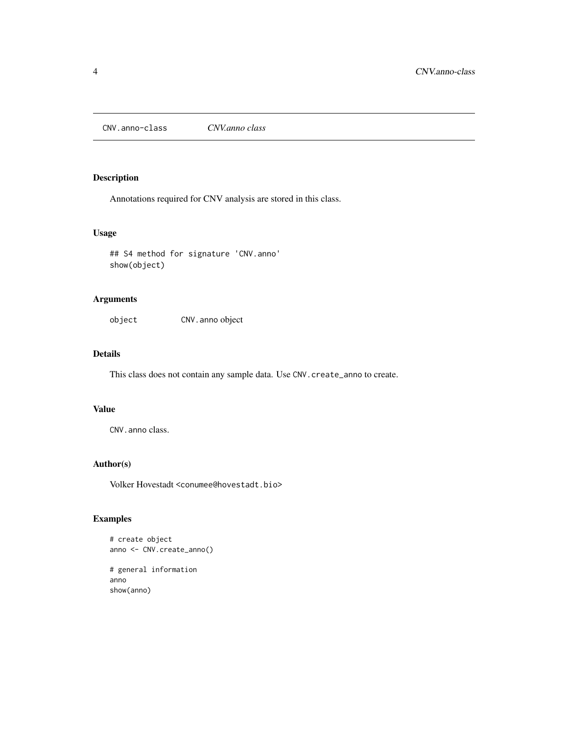<span id="page-3-0"></span>CNV.anno-class *CNV.anno class*

#### Description

Annotations required for CNV analysis are stored in this class.

#### Usage

## S4 method for signature 'CNV.anno' show(object)

#### Arguments

object CNV.anno object

#### Details

This class does not contain any sample data. Use CNV.create\_anno to create.

#### Value

CNV.anno class.

#### Author(s)

Volker Hovestadt <conumee@hovestadt.bio>

#### Examples

# create object anno <- CNV.create\_anno()

# general information anno show(anno)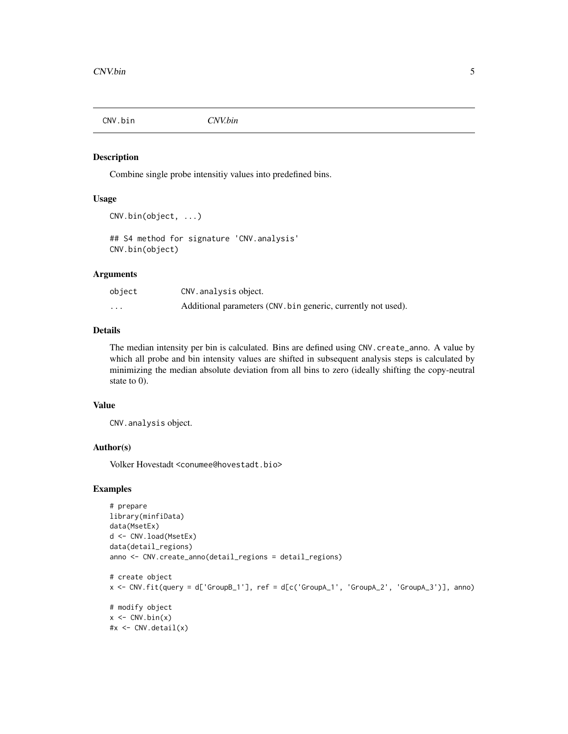<span id="page-4-0"></span>

#### Description

Combine single probe intensitiy values into predefined bins.

#### Usage

```
CNV.bin(object, ...)
```

```
## S4 method for signature 'CNV.analysis'
CNV.bin(object)
```
#### Arguments

| object   | CNV. analysis object.                                         |
|----------|---------------------------------------------------------------|
| $\cdots$ | Additional parameters (CNV. bin generic, currently not used). |

#### Details

The median intensity per bin is calculated. Bins are defined using CNV.create\_anno. A value by which all probe and bin intensity values are shifted in subsequent analysis steps is calculated by minimizing the median absolute deviation from all bins to zero (ideally shifting the copy-neutral state to 0).

#### Value

CNV.analysis object.

#### Author(s)

Volker Hovestadt <conumee@hovestadt.bio>

```
# prepare
library(minfiData)
data(MsetEx)
d <- CNV.load(MsetEx)
data(detail_regions)
anno <- CNV.create_anno(detail_regions = detail_regions)
# create object
x <- CNV.fit(query = d['GroupB_1'], ref = d[c('GroupA_1', 'GroupA_2', 'GroupA_3')], anno)
# modify object
x \leftarrow \text{CNV}.\text{bin}(x)#x <- CNV.detail(x)
```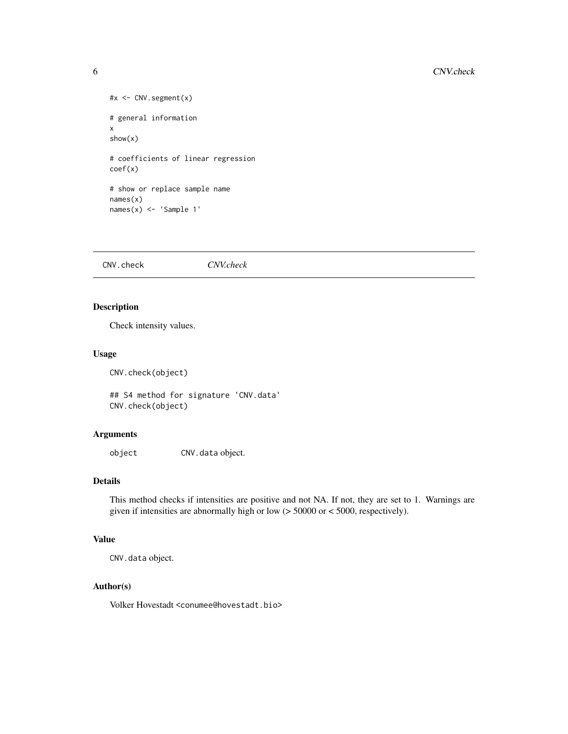```
#x <- CNV.segment(x)
# general information
x
show(x)
# coefficients of linear regression
coef(x)
# show or replace sample name
names(x)
names(x) <- 'Sample 1'
```
CNV.check *CNV.check*

#### Description

Check intensity values.

#### Usage

CNV.check(object)

## S4 method for signature 'CNV.data' CNV.check(object)

#### Arguments

object CNV.data object.

#### Details

This method checks if intensities are positive and not NA. If not, they are set to 1. Warnings are given if intensities are abnormally high or low (> 50000 or < 5000, respectively).

#### Value

CNV.data object.

#### Author(s)

Volker Hovestadt <conumee@hovestadt.bio>

<span id="page-5-0"></span>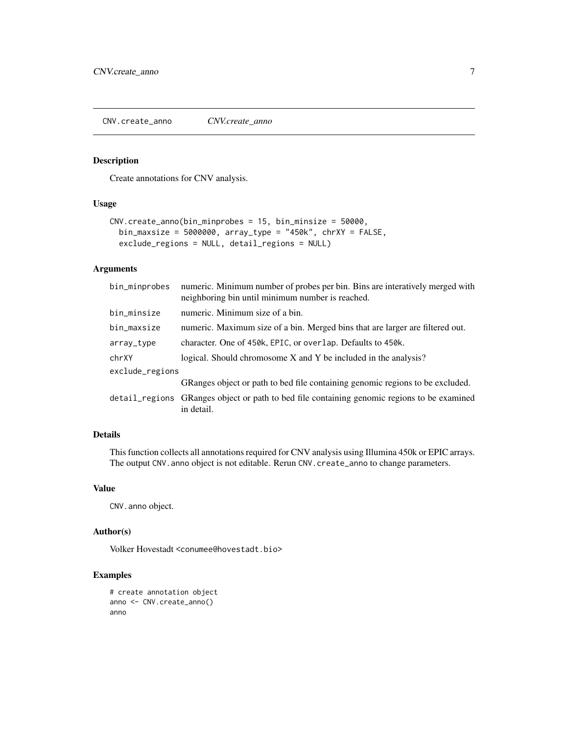<span id="page-6-0"></span>CNV.create\_anno *CNV.create\_anno*

#### Description

Create annotations for CNV analysis.

#### Usage

```
CNV.create_anno(bin_minprobes = 15, bin_minsize = 50000,
 bin_maxsize = 5000000, array_type = "450k", chrXY = FALSE,
  exclude_regions = NULL, detail_regions = NULL)
```
#### Arguments

| bin_minprobes   | numeric. Minimum number of probes per bin. Bins are interatively merged with<br>neighboring bin until minimum number is reached. |  |
|-----------------|----------------------------------------------------------------------------------------------------------------------------------|--|
| bin_minsize     | numeric. Minimum size of a bin.                                                                                                  |  |
| bin_maxsize     | numeric. Maximum size of a bin. Merged bins that are larger are filtered out.                                                    |  |
| array_type      | character. One of 450k, EPIC, or overlap. Defaults to 450k.                                                                      |  |
| chrXY           | logical. Should chromosome X and Y be included in the analysis?                                                                  |  |
| exclude_regions |                                                                                                                                  |  |
|                 | GRanges object or path to bed file containing genomic regions to be excluded.                                                    |  |
|                 | detail_regions GRanges object or path to bed file containing genomic regions to be examined<br>in detail.                        |  |

### Details

This function collects all annotations required for CNV analysis using Illumina 450k or EPIC arrays. The output CNV.anno object is not editable. Rerun CNV.create\_anno to change parameters.

#### Value

CNV.anno object.

#### Author(s)

Volker Hovestadt <conumee@hovestadt.bio>

```
# create annotation object
anno <- CNV.create_anno()
anno
```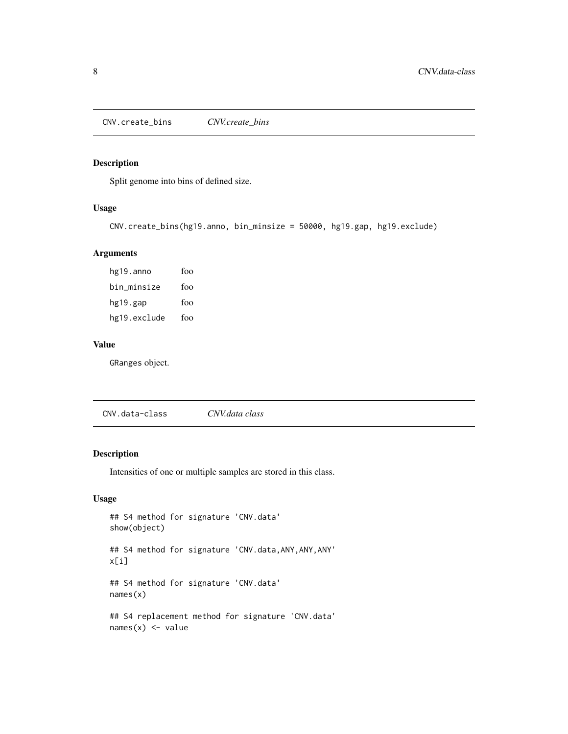<span id="page-7-0"></span>CNV.create\_bins *CNV.create\_bins*

#### Description

Split genome into bins of defined size.

#### Usage

```
CNV.create_bins(hg19.anno, bin_minsize = 50000, hg19.gap, hg19.exclude)
```
#### Arguments

hg19.anno foo bin\_minsize foo hg19.gap foo hg19.exclude foo

#### Value

GRanges object.

CNV.data-class *CNV.data class*

#### Description

Intensities of one or multiple samples are stored in this class.

#### Usage

```
## S4 method for signature 'CNV.data'
show(object)
## S4 method for signature 'CNV.data,ANY,ANY,ANY'
x[i]
## S4 method for signature 'CNV.data'
names(x)
## S4 replacement method for signature 'CNV.data'
names(x) <- value
```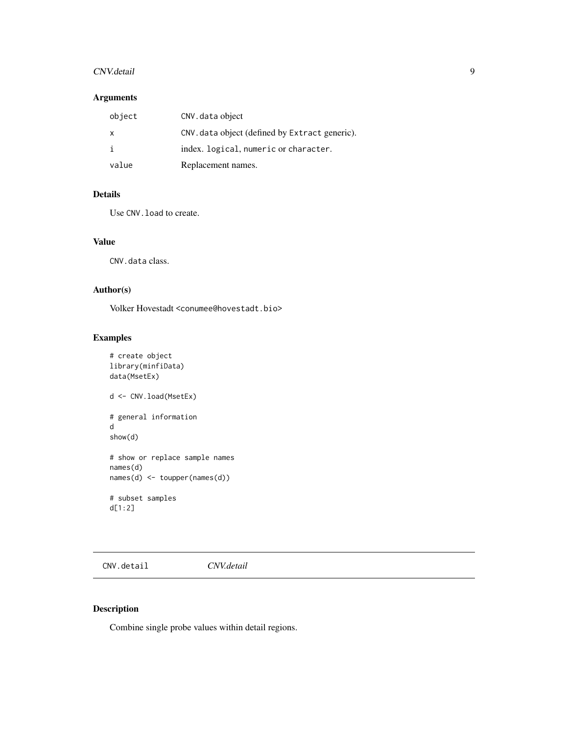#### <span id="page-8-0"></span>CNV.detail 9

#### Arguments

| object | CNV. data object                               |
|--------|------------------------------------------------|
| x      | CNV. data object (defined by Extract generic). |
|        | index. logical, numeric or character.          |
| value  | Replacement names.                             |

#### Details

Use CNV.load to create.

#### Value

CNV.data class.

#### Author(s)

Volker Hovestadt <conumee@hovestadt.bio>

#### Examples

```
# create object
library(minfiData)
data(MsetEx)
d <- CNV.load(MsetEx)
# general information
d
show(d)
# show or replace sample names
names(d)
names(d) <- toupper(names(d))
# subset samples
d[1:2]
```
CNV.detail *CNV.detail*

#### Description

Combine single probe values within detail regions.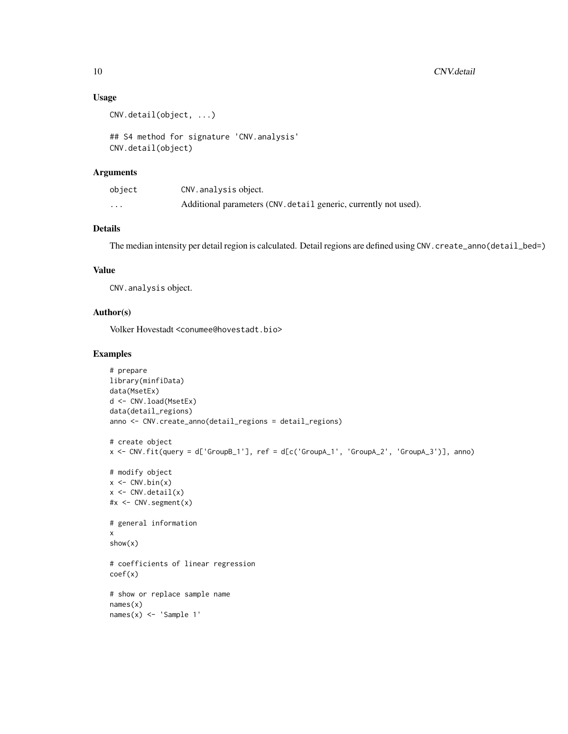#### Usage

```
CNV.detail(object, ...)
```
## S4 method for signature 'CNV.analysis' CNV.detail(object)

#### Arguments

| object   | CNV. analysis object.                                            |
|----------|------------------------------------------------------------------|
| $\cdots$ | Additional parameters (CNV. detail generic, currently not used). |

#### Details

The median intensity per detail region is calculated. Detail regions are defined using CNV.create\_anno(detail\_bed=)

#### Value

CNV.analysis object.

#### Author(s)

Volker Hovestadt <conumee@hovestadt.bio>

```
# prepare
library(minfiData)
data(MsetEx)
d <- CNV.load(MsetEx)
data(detail_regions)
anno <- CNV.create_anno(detail_regions = detail_regions)
# create object
x <- CNV.fit(query = d['GroupB_1'], ref = d[c('GroupA_1', 'GroupA_2', 'GroupA_3')], anno)
# modify object
x \leftarrow \text{CNV}.\text{bin}(x)x \leftarrow CNV.detail(x)
#x <- CNV.segment(x)
# general information
x
show(x)
# coefficients of linear regression
coef(x)
# show or replace sample name
names(x)
names(x) <- 'Sample 1'
```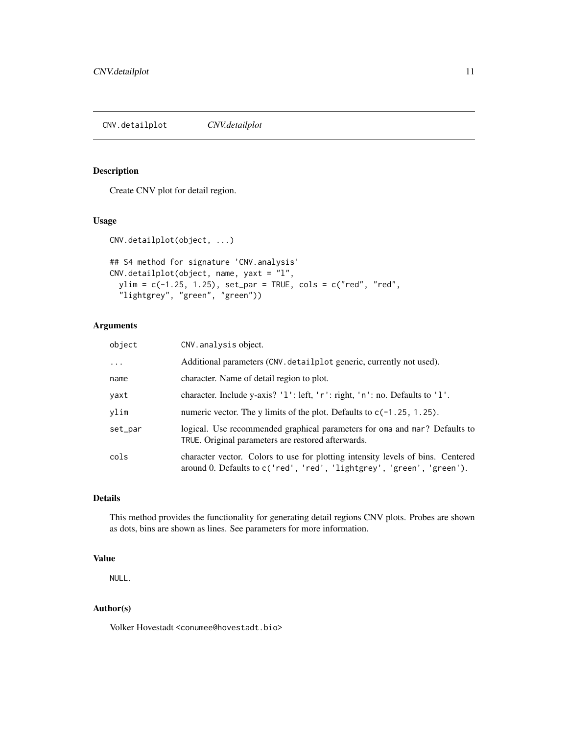#### <span id="page-10-0"></span>Description

Create CNV plot for detail region.

#### Usage

```
CNV.detailplot(object, ...)
## S4 method for signature 'CNV.analysis'
CNV.detailplot(object, name, yaxt = "l",
 ylim = c(-1.25, 1.25), set_par = TRUE, cols = c("red", "red",
  "lightgrey", "green", "green"))
```
#### Arguments

| object   | CNV. analysis object.                                                                                                                                    |
|----------|----------------------------------------------------------------------------------------------------------------------------------------------------------|
| $\cdots$ | Additional parameters (CNV. detailplot generic, currently not used).                                                                                     |
| name     | character. Name of detail region to plot.                                                                                                                |
| yaxt     | character. Include y-axis? '1': left, 'r': right, 'n': no. Defaults to '1'.                                                                              |
| vlim     | numeric vector. The y limits of the plot. Defaults to $c(-1.25, 1.25)$ .                                                                                 |
| set_par  | logical. Use recommended graphical parameters for oma and mar? Defaults to<br>TRUE. Original parameters are restored afterwards.                         |
| cols     | character vector. Colors to use for plotting intensity levels of bins. Centered<br>around 0. Defaults to c('red', 'red', 'lightgrey', 'green', 'green'). |

#### Details

This method provides the functionality for generating detail regions CNV plots. Probes are shown as dots, bins are shown as lines. See parameters for more information.

#### Value

NULL.

#### Author(s)

Volker Hovestadt <conumee@hovestadt.bio>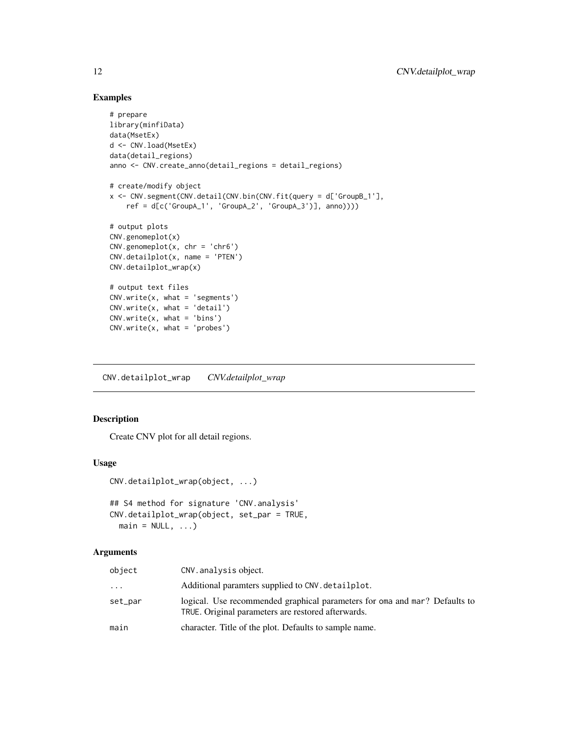#### Examples

```
# prepare
library(minfiData)
data(MsetEx)
d <- CNV.load(MsetEx)
data(detail_regions)
anno <- CNV.create_anno(detail_regions = detail_regions)
# create/modify object
x <- CNV.segment(CNV.detail(CNV.bin(CNV.fit(query = d['GroupB_1'],
    ref = d[c('GroupA_1', 'GroupA_2', 'GroupA_3')], anno))))
# output plots
CNV.genomeplot(x)
CNV.genomeplot(x, \text{chr} = 'chr6')CNV.detailplot(x, name = 'PTEN')
CNV.detailplot_wrap(x)
# output text files
CNV.write(x, what = 'segments')CNV.write(x, what = 'detail')CNV.write(x, what = 'bins')CNV.write(x, what = 'probes')
```
CNV.detailplot\_wrap *CNV.detailplot\_wrap*

#### Description

Create CNV plot for all detail regions.

#### Usage

```
CNV.detailplot_wrap(object, ...)
```

```
## S4 method for signature 'CNV.analysis'
CNV.detailplot_wrap(object, set_par = TRUE,
 main = NULL, ...)
```
#### Arguments

| object  | CNV. analysis object.                                                                                                            |
|---------|----------------------------------------------------------------------------------------------------------------------------------|
| .       | Additional paramters supplied to CNV. detailplot.                                                                                |
| set_par | logical. Use recommended graphical parameters for oma and mar? Defaults to<br>TRUE. Original parameters are restored afterwards. |
| main    | character. Title of the plot. Defaults to sample name.                                                                           |

<span id="page-11-0"></span>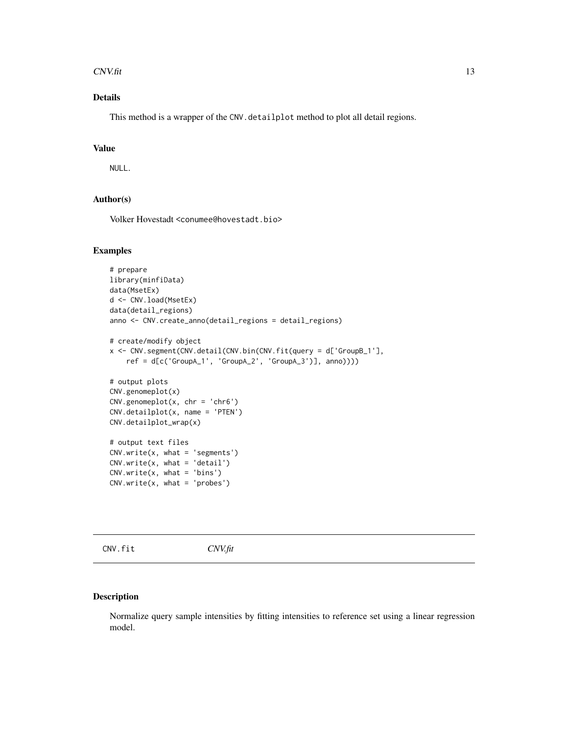#### <span id="page-12-0"></span> $C$ NV.fit 13

### Details

This method is a wrapper of the CNV.detailplot method to plot all detail regions.

#### Value

NULL.

#### Author(s)

Volker Hovestadt <conumee@hovestadt.bio>

#### Examples

```
# prepare
library(minfiData)
data(MsetEx)
d <- CNV.load(MsetEx)
data(detail_regions)
anno <- CNV.create_anno(detail_regions = detail_regions)
# create/modify object
x <- CNV.segment(CNV.detail(CNV.bin(CNV.fit(query = d['GroupB_1'],
    ref = d[c('GroupA_1', 'GroupA_2', 'GroupA_3')], anno))))
# output plots
CNV.genomeplot(x)
CNV.genomeplot(x, chr = 'chr6')
CNV.detailplot(x, name = 'PTEN')
CNV.detailplot_wrap(x)
# output text files
CNV.write(x, what = 'segments')CNV.write(x, what = 'detail')
CNV.write(x, what = 'bins')
CNV.write(x, what = 'probes')
```
CNV.fit *CNV.fit*

#### Description

Normalize query sample intensities by fitting intensities to reference set using a linear regression model.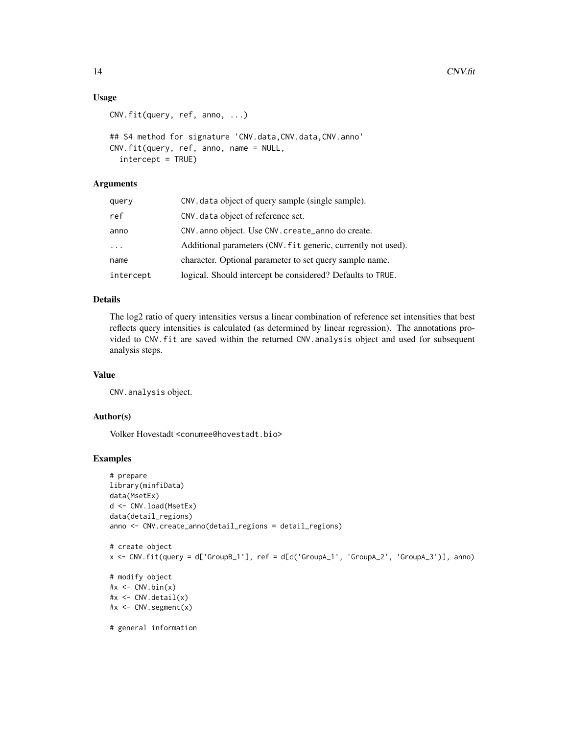#### Usage

```
CNV.fit(query, ref, anno, ...)
```

```
## S4 method for signature 'CNV.data,CNV.data,CNV.anno'
CNV.fit(query, ref, anno, name = NULL,
  intercept = TRUE)
```
### Arguments

| query      | CNV. data object of query sample (single sample).             |  |
|------------|---------------------------------------------------------------|--|
| ref        | CNV. data object of reference set.                            |  |
| anno       | CNV. anno object. Use CNV. create_anno do create.             |  |
| $\ddots$ . | Additional parameters (CNV. fit generic, currently not used). |  |
| name       | character. Optional parameter to set query sample name.       |  |
| intercept  | logical. Should intercept be considered? Defaults to TRUE.    |  |

#### Details

The log2 ratio of query intensities versus a linear combination of reference set intensities that best reflects query intensities is calculated (as determined by linear regression). The annotations provided to CNV.fit are saved within the returned CNV.analysis object and used for subsequent analysis steps.

#### Value

CNV.analysis object.

#### Author(s)

Volker Hovestadt <conumee@hovestadt.bio>

```
# prepare
library(minfiData)
data(MsetEx)
d <- CNV.load(MsetEx)
data(detail_regions)
anno <- CNV.create_anno(detail_regions = detail_regions)
# create object
x <- CNV.fit(query = d['GroupB_1'], ref = d[c('GroupA_1', 'GroupA_2', 'GroupA_3')], anno)
# modify object
\#x <- CNV.bin(x)
#x <- CNV.detail(x)
#x <- CNV.segment(x)
# general information
```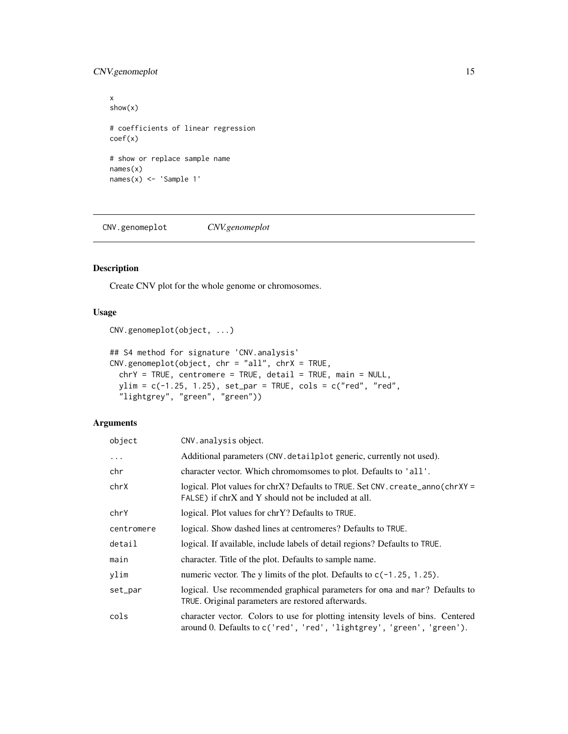#### <span id="page-14-0"></span>CNV.genomeplot 15

```
x
show(x)
# coefficients of linear regression
coef(x)
# show or replace sample name
names(x)
names(x) <- 'Sample 1'
```
CNV.genomeplot *CNV.genomeplot*

#### Description

Create CNV plot for the whole genome or chromosomes.

#### Usage

```
CNV.genomeplot(object, ...)
```

```
## S4 method for signature 'CNV.analysis'
CNV.genomeplot(object, chr = "all", chrX = TRUE,
 chrY = TRUE, centromere = TRUE, detail = TRUE, main = NULL,
 ylim = c(-1.25, 1.25), set-par = TRUE, cols = c("red", "red","lightgrey", "green", "green"))
```
#### Arguments

| object     | CNV. analysis object.                                                                                                                                    |
|------------|----------------------------------------------------------------------------------------------------------------------------------------------------------|
| $\ddots$ . | Additional parameters (CNV. detailplot generic, currently not used).                                                                                     |
| chr        | character vector. Which chromomsomes to plot. Defaults to 'all'.                                                                                         |
| chrX       | logical. Plot values for $chrX$ ? Defaults to TRUE. Set CNV. create_anno( $chrXY =$<br>FALSE) if chrX and Y should not be included at all.               |
| chrY       | logical. Plot values for chrY? Defaults to TRUE.                                                                                                         |
| centromere | logical. Show dashed lines at centromeres? Defaults to TRUE.                                                                                             |
| detail     | logical. If available, include labels of detail regions? Defaults to TRUE.                                                                               |
| main       | character. Title of the plot. Defaults to sample name.                                                                                                   |
| ylim       | numeric vector. The y limits of the plot. Defaults to $c(-1.25, 1.25)$ .                                                                                 |
| set_par    | logical. Use recommended graphical parameters for oma and mar? Defaults to<br>TRUE. Original parameters are restored afterwards.                         |
| cols       | character vector. Colors to use for plotting intensity levels of bins. Centered<br>around 0. Defaults to c('red', 'red', 'lightgrey', 'green', 'green'). |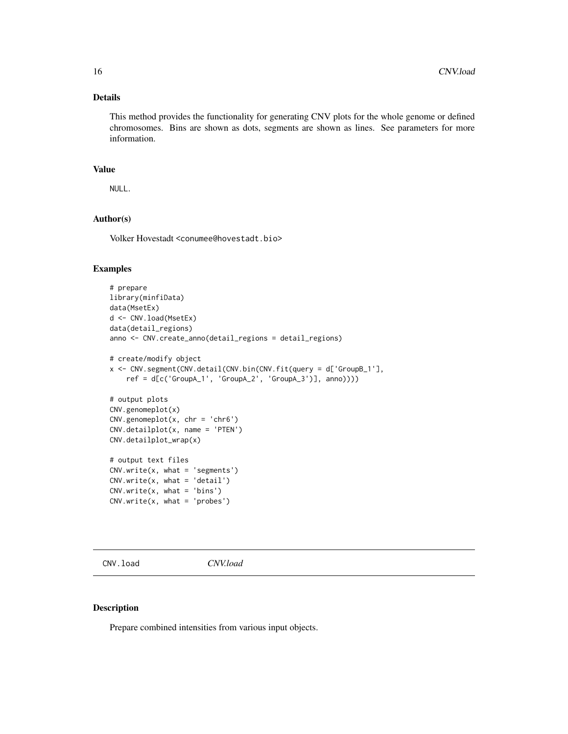#### <span id="page-15-0"></span>Details

This method provides the functionality for generating CNV plots for the whole genome or defined chromosomes. Bins are shown as dots, segments are shown as lines. See parameters for more information.

#### Value

NULL.

#### Author(s)

Volker Hovestadt <conumee@hovestadt.bio>

#### Examples

```
# prepare
library(minfiData)
data(MsetEx)
d <- CNV.load(MsetEx)
data(detail_regions)
anno <- CNV.create_anno(detail_regions = detail_regions)
# create/modify object
x <- CNV.segment(CNV.detail(CNV.bin(CNV.fit(query = d['GroupB_1'],
    ref = d[c('GroupA_1', 'GroupA_2', 'GroupA_3')], anno))))
# output plots
CNV.genomeplot(x)
CNV.genomeplot(x, \text{ chr} = 'chr6')CNV.detailplot(x, name = 'PTEN')
CNV.detailplot_wrap(x)
# output text files
CNV.write(x, what = 'segments')
CNV.write(x, what = 'detail')
CNV.write(x, what = 'bins')CNV.write(x, what = 'probes')
```
CNV.load *CNV.load*

#### Description

Prepare combined intensities from various input objects.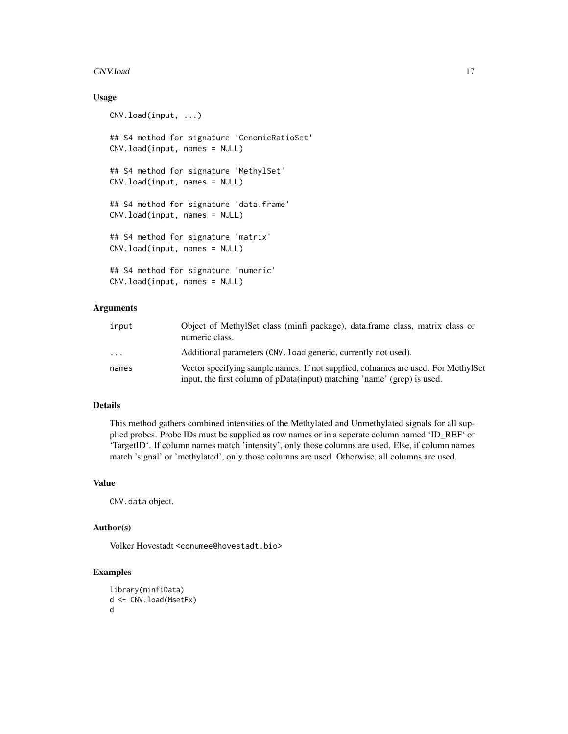#### CNV.load 17

#### Usage

```
CNV.load(input, ...)
## S4 method for signature 'GenomicRatioSet'
CNV.load(input, names = NULL)
## S4 method for signature 'MethylSet'
CNV.load(input, names = NULL)
## S4 method for signature 'data.frame'
CNV.load(input, names = NULL)
## S4 method for signature 'matrix'
CNV.load(input, names = NULL)
## S4 method for signature 'numeric'
CNV.load(input, names = NULL)
```
#### **Arguments**

| input | Object of MethylSet class (minfi package), data.frame class, matrix class or<br>numeric class.                                                               |
|-------|--------------------------------------------------------------------------------------------------------------------------------------------------------------|
| .     | Additional parameters (CNV, load generic, currently not used).                                                                                               |
| names | Vector specifying sample names. If not supplied, colnames are used. For MethylSet<br>input, the first column of pData(input) matching 'name' (grep) is used. |

#### Details

This method gathers combined intensities of the Methylated and Unmethylated signals for all supplied probes. Probe IDs must be supplied as row names or in a seperate column named 'ID\_REF' or 'TargetID'. If column names match 'intensity', only those columns are used. Else, if column names match 'signal' or 'methylated', only those columns are used. Otherwise, all columns are used.

#### Value

CNV.data object.

#### Author(s)

Volker Hovestadt <conumee@hovestadt.bio>

```
library(minfiData)
d <- CNV.load(MsetEx)
d
```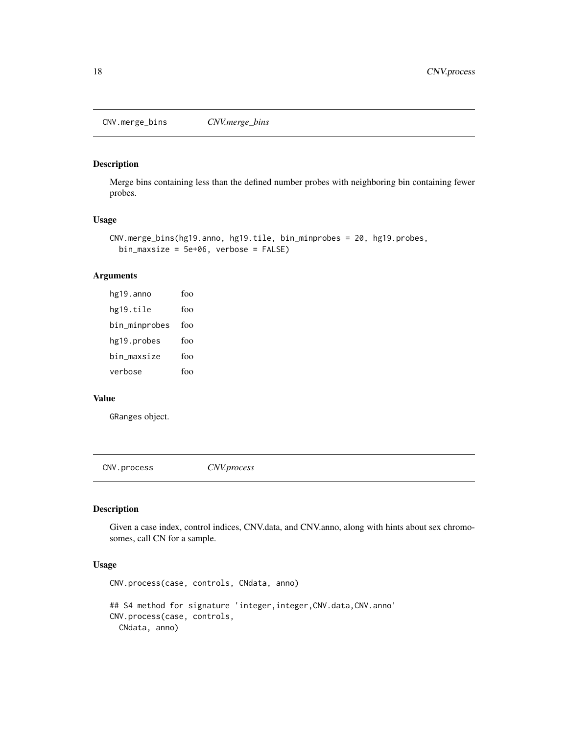<span id="page-17-0"></span>CNV.merge\_bins *CNV.merge\_bins*

#### Description

Merge bins containing less than the defined number probes with neighboring bin containing fewer probes.

#### Usage

```
CNV.merge_bins(hg19.anno, hg19.tile, bin_minprobes = 20, hg19.probes,
 bin_maxsize = 5e+06, verbose = FALSE)
```
#### Arguments

| hg19.anno     | foo |
|---------------|-----|
| hg19.tile     | foo |
| bin_minprobes | foo |
| hg19.probes   | foo |
| bin maxsize   | foo |
| verbose       | foo |

#### Value

GRanges object.

CNV.process *CNV.process*

#### Description

Given a case index, control indices, CNV.data, and CNV.anno, along with hints about sex chromosomes, call CN for a sample.

#### Usage

```
CNV.process(case, controls, CNdata, anno)
## S4 method for signature 'integer, integer, CNV.data, CNV.anno'
CNV.process(case, controls,
 CNdata, anno)
```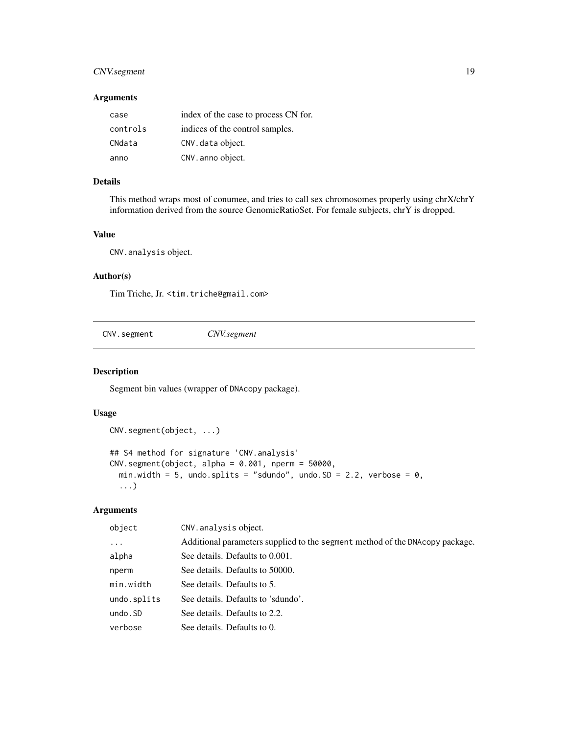#### <span id="page-18-0"></span>CNV.segment 19

#### Arguments

| case     | index of the case to process CN for. |
|----------|--------------------------------------|
| controls | indices of the control samples.      |
| CNdata   | CNV. data object.                    |
| anno     | CNV. anno object.                    |

#### Details

This method wraps most of conumee, and tries to call sex chromosomes properly using chrX/chrY information derived from the source GenomicRatioSet. For female subjects, chrY is dropped.

#### Value

CNV.analysis object.

#### Author(s)

Tim Triche, Jr. <tim.triche@gmail.com>

CNV.segment *CNV.segment*

Segment bin values (wrapper of DNAcopy package).

#### Usage

Description

```
CNV.segment(object, ...)
## S4 method for signature 'CNV.analysis'
CNV \text{.segment}(\text{object}, \text{ alpha} = 0.001, \text{ nperm} = 50000,min.width = 5, undo.splits = "sdundo", undo.SD = 2.2, verbose = \theta,
  ...)
```
#### Arguments

| object      | CNV. analysis object.                                                        |
|-------------|------------------------------------------------------------------------------|
| $\cdots$    | Additional parameters supplied to the segment method of the DNAcopy package. |
| alpha       | See details. Defaults to 0.001.                                              |
| nperm       | See details. Defaults to 50000.                                              |
| min.width   | See details. Defaults to 5.                                                  |
| undo.splits | See details. Defaults to 'sdundo'.                                           |
| undo.SD     | See details. Defaults to 2.2.                                                |
| verbose     | See details. Defaults to 0.                                                  |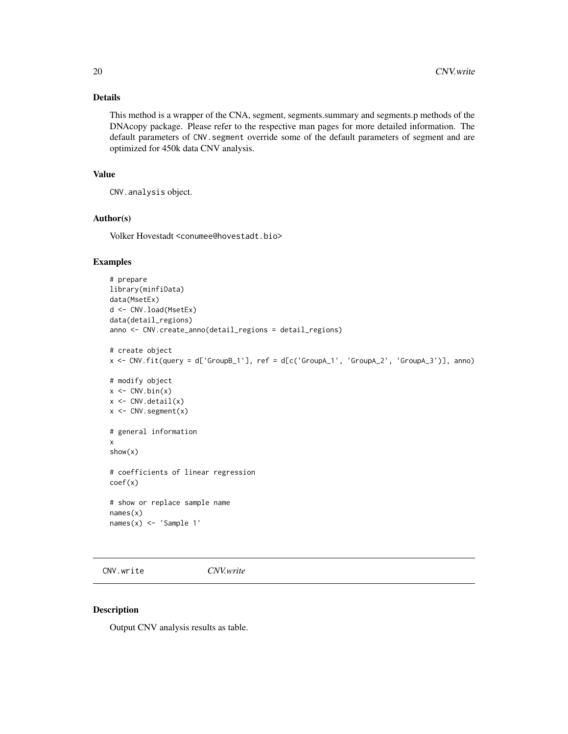#### <span id="page-19-0"></span>Details

This method is a wrapper of the CNA, segment, segments.summary and segments.p methods of the DNAcopy package. Please refer to the respective man pages for more detailed information. The default parameters of CNV. segment override some of the default parameters of segment and are optimized for 450k data CNV analysis.

#### Value

```
CNV.analysis object.
```
#### Author(s)

Volker Hovestadt <conumee@hovestadt.bio>

#### Examples

```
# prepare
library(minfiData)
data(MsetEx)
d <- CNV.load(MsetEx)
data(detail_regions)
anno <- CNV.create_anno(detail_regions = detail_regions)
# create object
x <- CNV.fit(query = d['GroupB_1'], ref = d[c('GroupA_1', 'GroupA_2', 'GroupA_3')], anno)
# modify object
x \leftarrow CNV.bin(x)
x \leftarrow \text{CNV}. \text{detail}(x)x \leftarrow CNV.segment(x)
# general information
x
show(x)
# coefficients of linear regression
coef(x)
# show or replace sample name
names(x)
names(x) <- 'Sample 1'
```
CNV.write *CNV.write*

#### Description

Output CNV analysis results as table.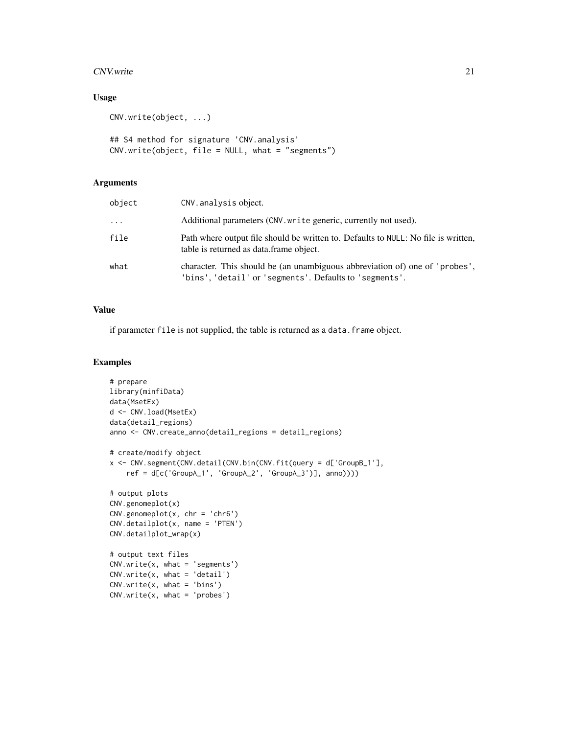#### $C_{\text{NV}}$  write 21

#### Usage

```
CNV.write(object, ...)
```

```
## S4 method for signature 'CNV.analysis'
CNV.write(object, file = NULL, what = "segments")
```
#### Arguments

| object   | CNV. analysis object.                                                                                                                  |
|----------|----------------------------------------------------------------------------------------------------------------------------------------|
| $\cdots$ | Additional parameters (CNV. write generic, currently not used).                                                                        |
| file     | Path where output file should be written to. Defaults to NULL: No file is written,<br>table is returned as data frame object.          |
| what     | character. This should be (an unambiguous abbreviation of) one of 'probes',<br>'bins', 'detail' or 'segments'. Defaults to 'segments'. |

#### Value

if parameter file is not supplied, the table is returned as a data. frame object.

```
# prepare
library(minfiData)
data(MsetEx)
d <- CNV.load(MsetEx)
data(detail_regions)
anno <- CNV.create_anno(detail_regions = detail_regions)
# create/modify object
x <- CNV.segment(CNV.detail(CNV.bin(CNV.fit(query = d['GroupB_1'],
    ref = d[c('GroupA_1', 'GroupA_2', 'GroupA_3')], anno))))
# output plots
CNV.genomeplot(x)
CNV.genomeplot(x, chr = 'chr6')
CNV.detailplot(x, name = 'PTEN')
CNV.detailplot_wrap(x)
# output text files
CNV.write(x, what = 'segments')CNV.write(x, what = 'detail')CNV.write(x, what = 'bins')CNV.write(x, what = 'probes')
```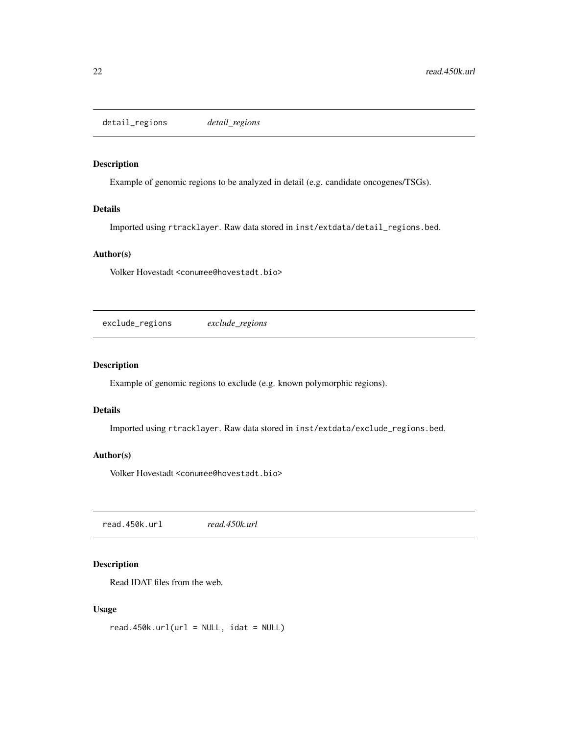<span id="page-21-0"></span>detail\_regions *detail\_regions*

#### Description

Example of genomic regions to be analyzed in detail (e.g. candidate oncogenes/TSGs).

#### Details

Imported using rtracklayer. Raw data stored in inst/extdata/detail\_regions.bed.

#### Author(s)

Volker Hovestadt <conumee@hovestadt.bio>

exclude\_regions *exclude\_regions*

#### Description

Example of genomic regions to exclude (e.g. known polymorphic regions).

#### Details

Imported using rtracklayer. Raw data stored in inst/extdata/exclude\_regions.bed.

#### Author(s)

Volker Hovestadt <conumee@hovestadt.bio>

read.450k.url *read.450k.url*

#### Description

Read IDAT files from the web.

#### Usage

 $read.450k.util(url = NULL, idat = NULL)$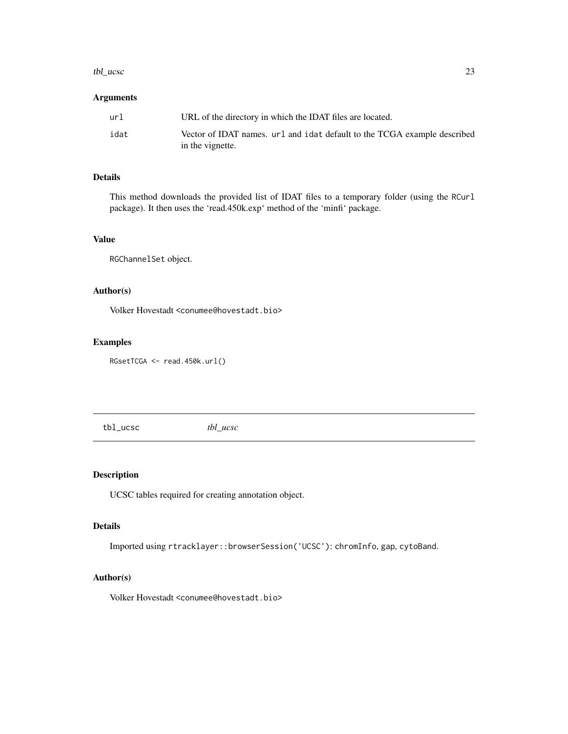#### <span id="page-22-0"></span>tbl\_ucsc 23

#### Arguments

| url  | URL of the directory in which the IDAT files are located.                                    |
|------|----------------------------------------------------------------------------------------------|
| idat | Vector of IDAT names, url and idat default to the TCGA example described<br>in the vignette. |

#### Details

This method downloads the provided list of IDAT files to a temporary folder (using the RCurl package). It then uses the 'read.450k.exp' method of the 'minfi' package.

#### Value

RGChannelSet object.

#### Author(s)

Volker Hovestadt <conumee@hovestadt.bio>

#### Examples

RGsetTCGA <- read.450k.url()

tbl\_ucsc *tbl\_ucsc*

#### Description

UCSC tables required for creating annotation object.

#### Details

Imported using rtracklayer::browserSession('UCSC'): chromInfo, gap, cytoBand.

#### Author(s)

Volker Hovestadt <conumee@hovestadt.bio>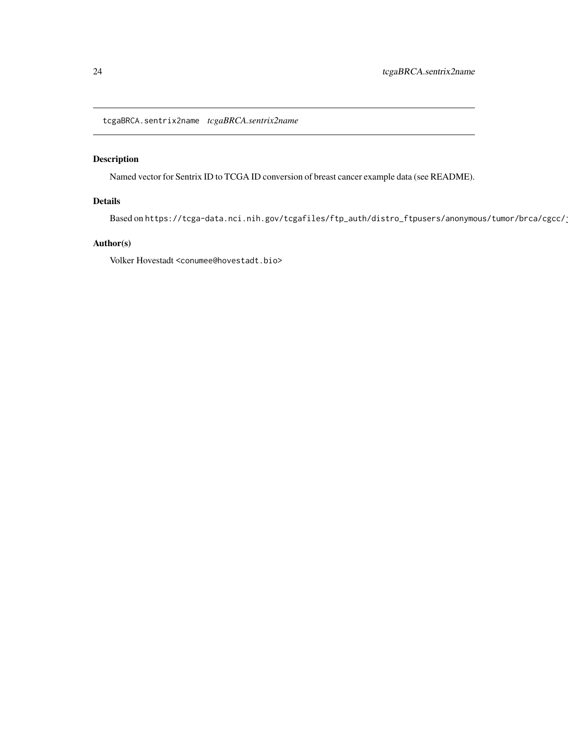<span id="page-23-0"></span>tcgaBRCA.sentrix2name *tcgaBRCA.sentrix2name*

#### Description

Named vector for Sentrix ID to TCGA ID conversion of breast cancer example data (see README).

#### Details

Based on https://tcga-data.nci.nih.gov/tcgafiles/ftp\_auth/distro\_ftpusers/anonymous/tumor/brca/cgcc/

#### Author(s)

Volker Hovestadt <conumee@hovestadt.bio>